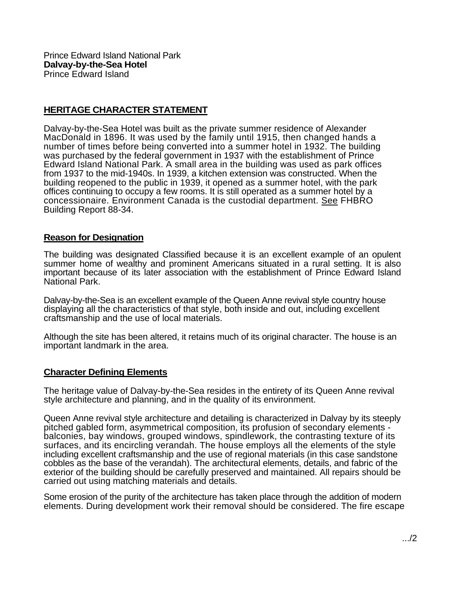Prince Edward Island National Park **Dalvay-by-the-Sea Hotel**  Prince Edward Island

## **HERITAGE CHARACTER STATEMENT**

Dalvay-by-the-Sea Hotel was built as the private summer residence of Alexander MacDonald in 1896. It was used by the family until 1915, then changed hands a number of times before being converted into a summer hotel in 1932. The building was purchased by the federal government in 1937 with the establishment of Prince Edward Island National Park. A small area in the building was used as park offices from 1937 to the mid-1940s. In 1939, a kitchen extension was constructed. When the building reopened to the public in 1939, it opened as a summer hotel, with the park offices continuing to occupy a few rooms. It is still operated as a summer hotel by a concessionaire. Environment Canada is the custodial department. See FHBRO Building Report 88-34.

## **Reason for Designation**

The building was designated Classified because it is an excellent example of an opulent summer home of wealthy and prominent Americans situated in a rural setting. It is also important because of its later association with the establishment of Prince Edward Island National Park.

Dalvay-by-the-Sea is an excellent example of the Queen Anne revival style country house displaying all the characteristics of that style, both inside and out, including excellent craftsmanship and the use of local materials.

Although the site has been altered, it retains much of its original character. The house is an important landmark in the area.

## **Character Defining Elements**

The heritage value of Dalvay-by-the-Sea resides in the entirety of its Queen Anne revival style architecture and planning, and in the quality of its environment.

Queen Anne revival style architecture and detailing is characterized in Dalvay by its steeply pitched gabled form, asymmetrical composition, its profusion of secondary elements balconies, bay windows, grouped windows, spindlework, the contrasting texture of its surfaces, and its encircling verandah. The house employs all the elements of the style including excellent craftsmanship and the use of regional materials (in this case sandstone cobbles as the base of the verandah). The architectural elements, details, and fabric of the exterior of the building should be carefully preserved and maintained. All repairs should be carried out using matching materials and details.

Some erosion of the purity of the architecture has taken place through the addition of modern elements. During development work their removal should be considered. The fire escape